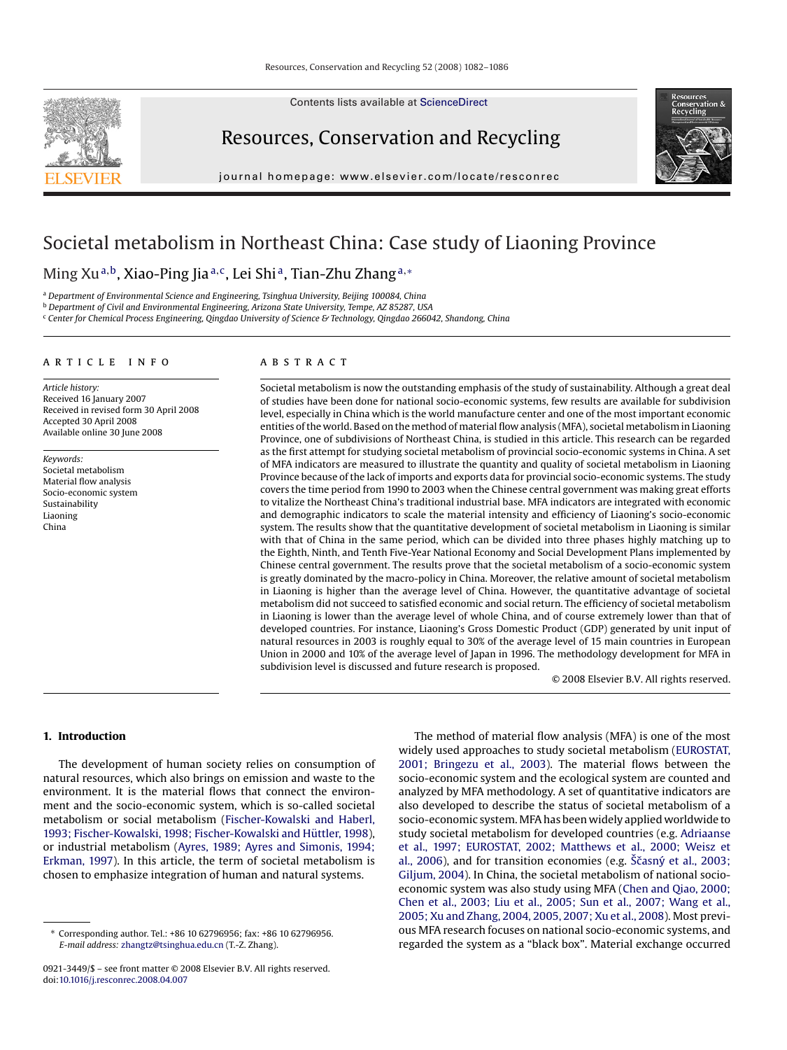Contents lists available at [ScienceDirect](http://www.sciencedirect.com/science/journal/09213449)

Resources, Conservation and Recycling

journal homepage: www.elsevier.com/locate/resconrec



# Societal metabolism in Northeast China: Case study of Liaoning Province

## Ming Xu<sup>a,b</sup>, Xiao-Ping Jia<sup>a,c</sup>, Lei Shi<sup>a</sup>, Tian-Zhu Zhang<sup>a,∗</sup>

<sup>a</sup> *Department of Environmental Science and Engineering, Tsinghua University, Beijing 100084, China*

<sup>b</sup> *Department of Civil and Environmental Engineering, Arizona State University, Tempe, AZ 85287, USA*

<sup>c</sup> *Center for Chemical Process Engineering, Qingdao University of Science & Technology, Qingdao 266042, Shandong, China*

### article info

*Article history:* Received 16 January 2007 Received in revised form 30 April 2008 Accepted 30 April 2008 Available online 30 June 2008

*Keywords:* Societal metabolism Material flow analysis Socio-economic system Sustainability Liaoning China

#### **ABSTRACT**

Societal metabolism is now the outstanding emphasis of the study of sustainability. Although a great deal of studies have been done for national socio-economic systems, few results are available for subdivision level, especially in China which is the world manufacture center and one of the most important economic entities of the world. Based on the method of material flow analysis (MFA), societal metabolism in Liaoning Province, one of subdivisions of Northeast China, is studied in this article. This research can be regarded as the first attempt for studying societal metabolism of provincial socio-economic systems in China. A set of MFA indicators are measured to illustrate the quantity and quality of societal metabolism in Liaoning Province because of the lack of imports and exports data for provincial socio-economic systems. The study covers the time period from 1990 to 2003 when the Chinese central government was making great efforts to vitalize the Northeast China's traditional industrial base. MFA indicators are integrated with economic and demographic indicators to scale the material intensity and efficiency of Liaoning's socio-economic system. The results show that the quantitative development of societal metabolism in Liaoning is similar with that of China in the same period, which can be divided into three phases highly matching up to the Eighth, Ninth, and Tenth Five-Year National Economy and Social Development Plans implemented by Chinese central government. The results prove that the societal metabolism of a socio-economic system is greatly dominated by the macro-policy in China. Moreover, the relative amount of societal metabolism in Liaoning is higher than the average level of China. However, the quantitative advantage of societal metabolism did not succeed to satisfied economic and social return. The efficiency of societal metabolism in Liaoning is lower than the average level of whole China, and of course extremely lower than that of developed countries. For instance, Liaoning's Gross Domestic Product (GDP) generated by unit input of natural resources in 2003 is roughly equal to 30% of the average level of 15 main countries in European Union in 2000 and 10% of the average level of Japan in 1996. The methodology development for MFA in subdivision level is discussed and future research is proposed.

© 2008 Elsevier B.V. All rights reserved.

#### **1. Introduction**

The development of human society relies on consumption of natural resources, which also brings on emission and waste to the environment. It is the material flows that connect the environment and the socio-economic system, which is so-called societal metabolism or social metabolism [\(Fischer-Kowalski and Haberl,](#page-4-0) 1993; Fischer-Kowalski, 1998; Fischer-Kowalski and Hüttler, 1998), or industrial metabolism ([Ayres, 1989; Ayres and Simonis, 1994;](#page-4-0) [Erkman, 1997\).](#page-4-0) In this article, the term of societal metabolism is chosen to emphasize integration of human and natural systems.

The method of material flow analysis (MFA) is one of the most widely used approaches to study societal metabolism [\(EUROSTAT,](#page-4-0) [2001; Bringezu et al., 2003\).](#page-4-0) The material flows between the socio-economic system and the ecological system are counted and analyzed by MFA methodology. A set of quantitative indicators are also developed to describe the status of societal metabolism of a socio-economic system. MFA has been widely applied worldwide to study societal metabolism for developed countries (e.g. [Adriaanse](#page-4-0) [et al., 1997; EUROSTAT, 2002; Matthews et al., 2000; Weisz et](#page-4-0) [al., 2006\),](#page-4-0) and for transition economies (e.g.  $\check{S}$ casn $\acute{v}$  [et al., 2003;](#page-4-0) [Giljum, 2004\).](#page-4-0) In China, the societal metabolism of national socioeconomic system was also study using MFA [\(Chen and Qiao, 2000;](#page-4-0) [Chen et al., 2003; Liu et al., 2005; Sun et al., 2007; Wang et al.,](#page-4-0) [2005; Xu and Zhang, 2004, 2005, 2007; Xu et al., 2008\).](#page-4-0) Most previous MFA research focuses on national socio-economic systems, and regarded the system as a "black box". Material exchange occurred

<sup>∗</sup> Corresponding author. Tel.: +86 10 62796956; fax: +86 10 62796956. *E-mail address:* [zhangtz@tsinghua.edu.cn](mailto:zhangtz@tsinghua.edu.cn) (T.-Z. Zhang).

<sup>0921-3449/\$ –</sup> see front matter © 2008 Elsevier B.V. All rights reserved. doi:[10.1016/j.resconrec.2008.04.007](dx.doi.org/10.1016/j.resconrec.2008.04.007)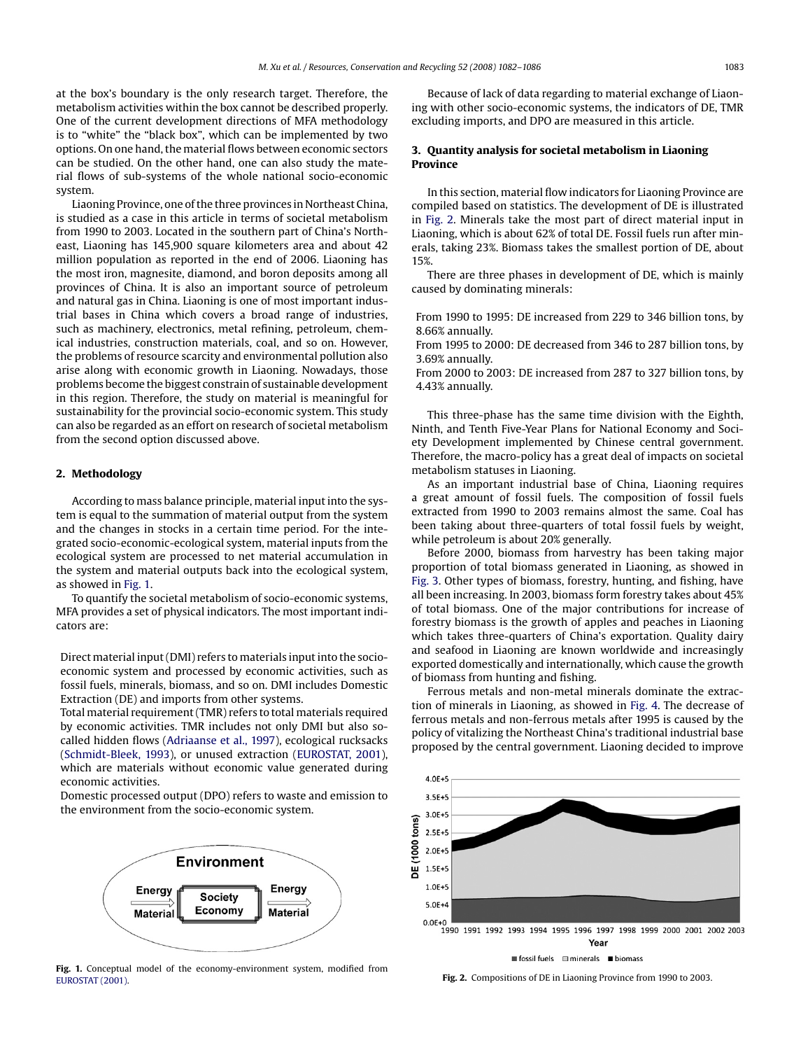at the box's boundary is the only research target. Therefore, the metabolism activities within the box cannot be described properly. One of the current development directions of MFA methodology is to "white" the "black box", which can be implemented by two options. On one hand, the material flows between economic sectors can be studied. On the other hand, one can also study the material flows of sub-systems of the whole national socio-economic system.

Liaoning Province, one of the three provinces in Northeast China, is studied as a case in this article in terms of societal metabolism from 1990 to 2003. Located in the southern part of China's Northeast, Liaoning has 145,900 square kilometers area and about 42 million population as reported in the end of 2006. Liaoning has the most iron, magnesite, diamond, and boron deposits among all provinces of China. It is also an important source of petroleum and natural gas in China. Liaoning is one of most important industrial bases in China which covers a broad range of industries, such as machinery, electronics, metal refining, petroleum, chemical industries, construction materials, coal, and so on. However, the problems of resource scarcity and environmental pollution also arise along with economic growth in Liaoning. Nowadays, those problems become the biggest constrain of sustainable development in this region. Therefore, the study on material is meaningful for sustainability for the provincial socio-economic system. This study can also be regarded as an effort on research of societal metabolism from the second option discussed above.

#### **2. Methodology**

According to mass balance principle, material input into the system is equal to the summation of material output from the system and the changes in stocks in a certain time period. For the integrated socio-economic-ecological system, material inputs from the ecological system are processed to net material accumulation in the system and material outputs back into the ecological system, as showed in Fig. 1.

To quantify the societal metabolism of socio-economic systems, MFA provides a set of physical indicators. The most important indicators are:

Direct material input (DMI) refers to materials input into the socioeconomic system and processed by economic activities, such as fossil fuels, minerals, biomass, and so on. DMI includes Domestic Extraction (DE) and imports from other systems.

Total material requirement (TMR) refers to total materials required by economic activities. TMR includes not only DMI but also socalled hidden flows [\(Adriaanse et al., 1997\),](#page-4-0) ecological rucksacks ([Schmidt-Bleek, 1993\),](#page-4-0) or unused extraction ([EUROSTAT, 2001\),](#page-4-0) which are materials without economic value generated during economic activities.

Domestic processed output (DPO) refers to waste and emission to the environment from the socio-economic system.



**Fig. 1.** Conceptual model of the economy-environment system, modified from [EUROSTAT \(2001\).](#page-4-0)

Because of lack of data regarding to material exchange of Liaoning with other socio-economic systems, the indicators of DE, TMR excluding imports, and DPO are measured in this article.

#### **3. Quantity analysis for societal metabolism in Liaoning Province**

In this section, material flow indicators for Liaoning Province are compiled based on statistics. The development of DE is illustrated in Fig. 2. Minerals take the most part of direct material input in Liaoning, which is about 62% of total DE. Fossil fuels run after minerals, taking 23%. Biomass takes the smallest portion of DE, about 15%.

There are three phases in development of DE, which is mainly caused by dominating minerals:

From 1990 to 1995: DE increased from 229 to 346 billion tons, by 8.66% annually.

From 1995 to 2000: DE decreased from 346 to 287 billion tons, by 3.69% annually.

From 2000 to 2003: DE increased from 287 to 327 billion tons, by 4.43% annually.

This three-phase has the same time division with the Eighth, Ninth, and Tenth Five-Year Plans for National Economy and Society Development implemented by Chinese central government. Therefore, the macro-policy has a great deal of impacts on societal metabolism statuses in Liaoning.

As an important industrial base of China, Liaoning requires a great amount of fossil fuels. The composition of fossil fuels extracted from 1990 to 2003 remains almost the same. Coal has been taking about three-quarters of total fossil fuels by weight, while petroleum is about 20% generally.

Before 2000, biomass from harvestry has been taking major proportion of total biomass generated in Liaoning, as showed in [Fig. 3.](#page-2-0) Other types of biomass, forestry, hunting, and fishing, have all been increasing. In 2003, biomass form forestry takes about 45% of total biomass. One of the major contributions for increase of forestry biomass is the growth of apples and peaches in Liaoning which takes three-quarters of China's exportation. Quality dairy and seafood in Liaoning are known worldwide and increasingly exported domestically and internationally, which cause the growth of biomass from hunting and fishing.

Ferrous metals and non-metal minerals dominate the extraction of minerals in Liaoning, as showed in [Fig. 4.](#page-2-0) The decrease of ferrous metals and non-ferrous metals after 1995 is caused by the policy of vitalizing the Northeast China's traditional industrial base proposed by the central government. Liaoning decided to improve



**Fig. 2.** Compositions of DE in Liaoning Province from 1990 to 2003.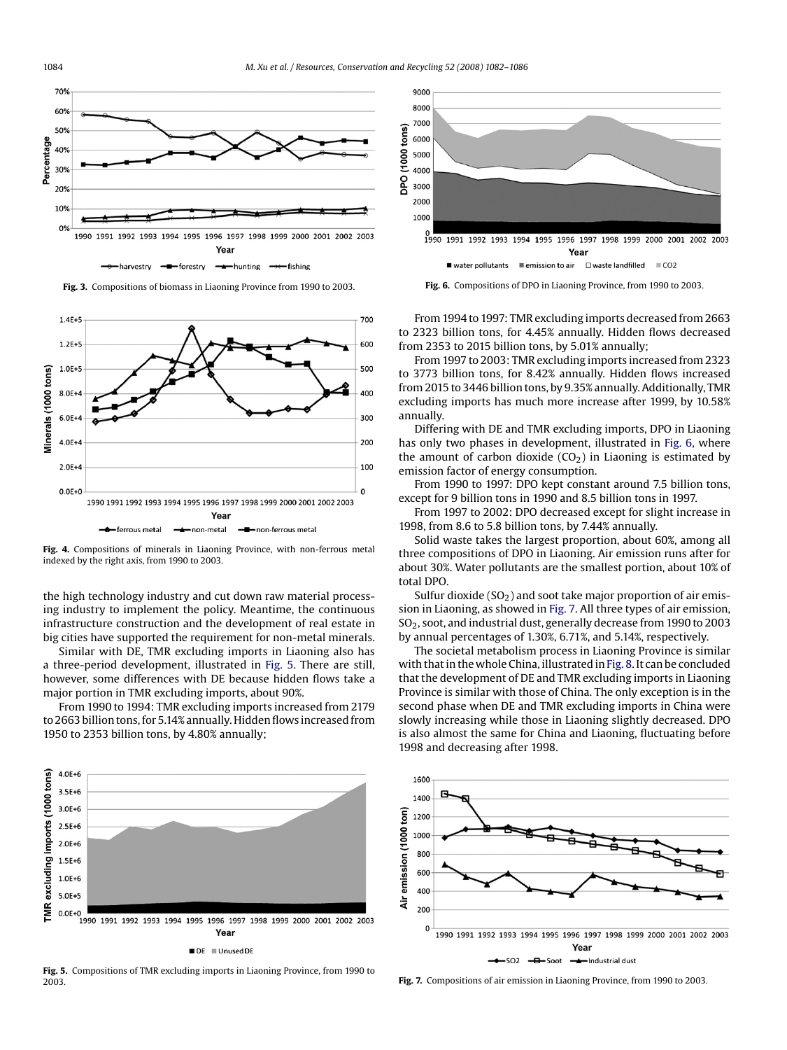<span id="page-2-0"></span>





Fig. 4. Compositions of minerals in Liaoning Province, with non-ferrous metal indexed by the right axis, from 1990 to 2003.

the high technology industry and cut down raw material processing industry to implement the policy. Meantime, the continuous infrastructure construction and the development of real estate in big cities have supported the requirement for non-metal minerals.

Similar with DE, TMR excluding imports in Liaoning also has a three-period development, illustrated in Fig. 5. There are still, however, some differences with DE because hidden flows take a major portion in TMR excluding imports, about 90%.

From 1990 to 1994: TMR excluding imports increased from 2179 to 2663 billion tons, for 5.14% annually. Hidden flows increased from 1950 to 2353 billion tons, by 4.80% annually;



**Fig. 5.** Compositions of TMR excluding imports in Liaoning Province, from 1990 to 2003.



**Fig. 6.** Compositions of DPO in Liaoning Province, from 1990 to 2003.

From 1994 to 1997: TMR excluding imports decreased from 2663 to 2323 billion tons, for 4.45% annually. Hidden flows decreased from 2353 to 2015 billion tons, by 5.01% annually;

From 1997 to 2003: TMR excluding imports increased from 2323 to 3773 billion tons, for 8.42% annually. Hidden flows increased from 2015 to 3446 billion tons, by 9.35% annually. Additionally, TMR excluding imports has much more increase after 1999, by 10.58% annually.

Differing with DE and TMR excluding imports, DPO in Liaoning has only two phases in development, illustrated in Fig. 6, where the amount of carbon dioxide  $(CO<sub>2</sub>)$  in Liaoning is estimated by emission factor of energy consumption.

From 1990 to 1997: DPO kept constant around 7.5 billion tons, except for 9 billion tons in 1990 and 8.5 billion tons in 1997.

From 1997 to 2002: DPO decreased except for slight increase in 1998, from 8.6 to 5.8 billion tons, by 7.44% annually.

Solid waste takes the largest proportion, about 60%, among all three compositions of DPO in Liaoning. Air emission runs after for about 30%. Water pollutants are the smallest portion, about 10% of total DPO.

Sulfur dioxide  $(SO<sub>2</sub>)$  and soot take major proportion of air emission in Liaoning, as showed in Fig. 7. All three types of air emission, SO<sub>2</sub>, soot, and industrial dust, generally decrease from 1990 to 2003 by annual percentages of 1.30%, 6.71%, and 5.14%, respectively.

The societal metabolism process in Liaoning Province is similar with that in the whole China, illustrated in [Fig. 8. It](#page-3-0) can be concluded that the development of DE and TMR excluding imports in Liaoning Province is similar with those of China. The only exception is in the second phase when DE and TMR excluding imports in China were slowly increasing while those in Liaoning slightly decreased. DPO is also almost the same for China and Liaoning, fluctuating before 1998 and decreasing after 1998.



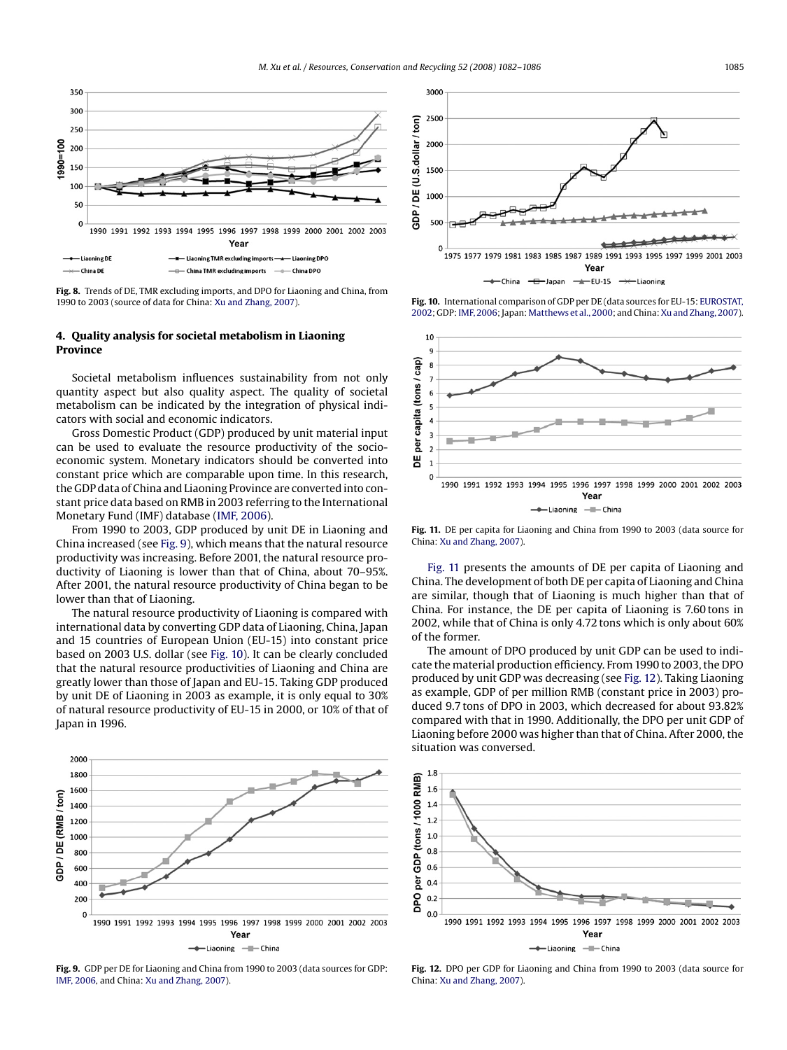<span id="page-3-0"></span>

**Fig. 8.** Trends of DE, TMR excluding imports, and DPO for Liaoning and China, from 1990 to 2003 (source of data for China: [Xu and Zhang, 2007\).](#page-4-0)

#### **4. Quality analysis for societal metabolism in Liaoning Province**

Societal metabolism influences sustainability from not only quantity aspect but also quality aspect. The quality of societal metabolism can be indicated by the integration of physical indicators with social and economic indicators.

Gross Domestic Product (GDP) produced by unit material input can be used to evaluate the resource productivity of the socioeconomic system. Monetary indicators should be converted into constant price which are comparable upon time. In this research, the GDP data of China and Liaoning Province are converted into constant price data based on RMB in 2003 referring to the International Monetary Fund (IMF) database [\(IMF, 2006\).](#page-4-0)

From 1990 to 2003, GDP produced by unit DE in Liaoning and China increased (see Fig. 9), which means that the natural resource productivity was increasing. Before 2001, the natural resource productivity of Liaoning is lower than that of China, about 70–95%. After 2001, the natural resource productivity of China began to be lower than that of Liaoning.

The natural resource productivity of Liaoning is compared with international data by converting GDP data of Liaoning, China, Japan and 15 countries of European Union (EU-15) into constant price based on 2003 U.S. dollar (see Fig. 10). It can be clearly concluded that the natural resource productivities of Liaoning and China are greatly lower than those of Japan and EU-15. Taking GDP produced by unit DE of Liaoning in 2003 as example, it is only equal to 30% of natural resource productivity of EU-15 in 2000, or 10% of that of Japan in 1996.



**Fig. 9.** GDP per DE for Liaoning and China from 1990 to 2003 (data sources for GDP: [IMF, 2006, a](#page-4-0)nd China: [Xu and Zhang, 2007\).](#page-4-0)



**Fig. 10.** International comparison of GDP per DE (data sources for EU-15: [EUROSTAT,](#page-4-0) [2002; G](#page-4-0)DP: [IMF, 2006; J](#page-4-0)apan: [Matthews et al., 2000; a](#page-4-0)nd China: [Xu and Zhang, 2007\).](#page-4-0)



**Fig. 11.** DE per capita for Liaoning and China from 1990 to 2003 (data source for China: [Xu and Zhang, 2007\).](#page-4-0)

Fig. 11 presents the amounts of DE per capita of Liaoning and China. The development of both DE per capita of Liaoning and China are similar, though that of Liaoning is much higher than that of China. For instance, the DE per capita of Liaoning is 7.60 tons in 2002, while that of China is only 4.72 tons which is only about 60% of the former.

The amount of DPO produced by unit GDP can be used to indicate the material production efficiency. From 1990 to 2003, the DPO produced by unit GDP was decreasing (see Fig. 12). Taking Liaoning as example, GDP of per million RMB (constant price in 2003) produced 9.7 tons of DPO in 2003, which decreased for about 93.82% compared with that in 1990. Additionally, the DPO per unit GDP of Liaoning before 2000 was higher than that of China. After 2000, the situation was conversed.